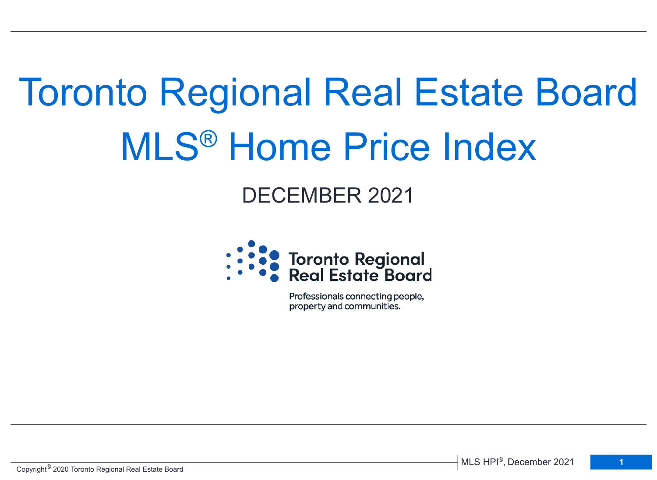# Toronto Regional Real Estate Board MLS® Home Price Index

# DECEMBER 2021



Professionals connecting people, property and communities.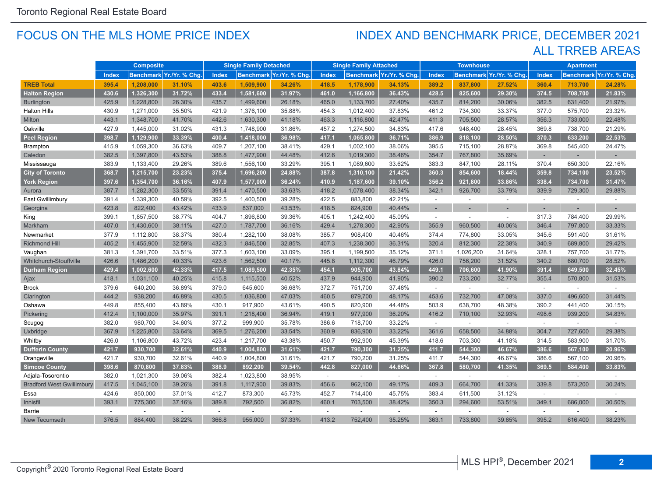#### FOCUS ON THE MLS HOME PRICE INDEX

## ALL TRREB AREAS INDEX AND BENCHMARK PRICE, DECEMBER 2021

|                                  | <b>Composite</b> |           | <b>Single Family Detached</b> |        |           | <b>Single Family Attached</b> |        |           | <b>Townhouse</b>         |          |                          | <b>Apartment</b>        |              |         |                         |
|----------------------------------|------------------|-----------|-------------------------------|--------|-----------|-------------------------------|--------|-----------|--------------------------|----------|--------------------------|-------------------------|--------------|---------|-------------------------|
|                                  | <b>Index</b>     |           | Benchmark Yr./Yr. % Chg.      | Index  |           | Benchmark Yr./Yr. % Chg.      | Index  |           | Benchmark Yr./Yr. % Chg. | Index    |                          | Benchmark Yr./Yr. % Chg | <b>Index</b> |         | Benchmark Yr./Yr. % Chg |
| <b>TREB Total</b>                | 395.4            | 1,208,000 | 31.10%                        | 403.6  | 1,509,900 | 34.26%                        | 418.5  | 1,178,900 | 34.13%                   | 389.2    | 837,800                  | 27.52%                  | 360.4        | 713,700 | 24.28%                  |
| <b>Halton Region</b>             | 430.6            | 1,326,300 | 31.72%                        | 433.4  | 1,581,600 | 31.97%                        | 461.0  | 1,166,800 | 36.43%                   | 428.5    | 825,600                  | 29.30%                  | 374.5        | 708,700 | 21.83%                  |
| <b>Burlington</b>                | 425.9            | 1,228,800 | 26.30%                        | 435.7  | 1,499,600 | 26.18%                        | 465.0  | 1,133,700 | 27.40%                   | 435.7    | 814,200                  | 30.06%                  | 382.5        | 631,400 | 21.97%                  |
| <b>Halton Hills</b>              | 430.9            | 1,271,000 | 35.50%                        | 421.9  | 1,376,100 | 35.88%                        | 454.3  | 1,012,400 | 37.83%                   | 461.2    | 734,300                  | 33.37%                  | 377.0        | 575,700 | 23.32%                  |
| Milton                           | 443.1            | 1,348,700 | 41.70%                        | 442.6  | 1,630,300 | 41.18%                        | 463.3  | 1,116,800 | 42.47%                   | 411.3    | 705,500                  | 28.57%                  | 356.3        | 733,000 | 22.48%                  |
| Oakville                         | 427.9            | 1,445,000 | 31.02%                        | 431.3  | 1,748,900 | 31.86%                        | 457.2  | 1,274,500 | 34.83%                   | 417.6    | 948,400                  | 28.45%                  | 369.8        | 738,700 | 21.29%                  |
| <b>Peel Region</b>               | 398.7            | 1,129,900 | 33.39%                        | 400.4  | 1,418,000 | 36.98%                        | 417.1  | 1,065,800 | 36.71%                   | 386.9    | 818,100                  | 28.50%                  | 370.3        | 633,200 | 22.53%                  |
| <b>Brampton</b>                  | 415.9            | 1,059,300 | 36.63%                        | 409.7  | 1,207,100 | 38.41%                        | 429.1  | 1,002,100 | 38.06%                   | 395.5    | 715,100                  | 28.87%                  | 369.8        | 545,400 | 24.47%                  |
| Caledon                          | 382.5            | 1,397,800 | 43.53%                        | 388.8  | 1,477,900 | 44.48%                        | 412.6  | 1,019,300 | 38.46%                   | 354.7    | 767,800                  | 35.69%                  | $\sim$       |         |                         |
| Mississauga                      | 383.9            | 1,133,400 | 29.26%                        | 389.6  | 1,556,100 | 33.29%                        | 395.1  | 1,089,600 | 33.62%                   | 383.3    | 847,100                  | 28.11%                  | 370.4        | 650,300 | 22.16%                  |
| <b>City of Toronto</b>           | 368.7            | 1,215,700 | 23.23%                        | 375.4  | 1,696,200 | 24.88%                        | 387.8  | 1,310,100 | 21.42%                   | 360.3    | 854,600                  | 18.44%                  | 359.8        | 734,100 | 23.52%                  |
| <b>York Region</b>               | 397.6            | 1,354,700 | 36.16%                        | 407.9  | 1,577,000 | 36.24%                        | 410.9  | 1,187,600 | 39.10%                   | 356.2    | 921,800                  | 33.86%                  | 338.4        | 734,700 | 31.47%                  |
| Aurora                           | 387.7            | 1,282,300 | 33.55%                        | 391.4  | 1,470,500 | 33.63%                        | 418.2  | 1,078,400 | 38.34%                   | 342.1    | 926,700                  | 33.79%                  | 339.9        | 729,300 | 29.88%                  |
| East Gwillimbury                 | 391.4            | 1,339,300 | 40.59%                        | 392.5  | 1,400,500 | 39.28%                        | 422.5  | 883,800   | 42.21%                   | $\sim$   | $\sim$                   | $\sim$                  | $\sim$       |         |                         |
| Georgina                         | 423.8            | 822,400   | 43.42%                        | 433.9  | 837,000   | 43.53%                        | 418.5  | 824,900   | 40.44%                   |          |                          |                         |              |         |                         |
| King                             | 399.1            | 1,857,500 | 38.77%                        | 404.7  | 1,896,800 | 39.36%                        | 405.1  | 1,242,400 | 45.09%                   | $\sim$   | ÷.                       | ÷.                      | 317.3        | 784,400 | 29.99%                  |
| Markham                          | 407.0            | 1,430,600 | 38.11%                        | 427.0  | 1,787,700 | 36.16%                        | 429.4  | 1,278,300 | 42.90%                   | 355.9    | 960,500                  | 40.06%                  | 346.4        | 797,800 | 33.33%                  |
| Newmarket                        | 377.9            | 1,112,800 | 38.37%                        | 380.4  | 1,282,100 | 38.08%                        | 385.7  | 908,400   | 40.46%                   | 374.4    | 774,800                  | 33.05%                  | 345.6        | 591,400 | 31.61%                  |
| <b>Richmond Hill</b>             | 405.2            | 1,455,900 | 32.59%                        | 432.3  | 1,846,500 | 32.85%                        | 407.3  | 1,238,300 | 36.31%                   | 320.4    | 812,300                  | 22.38%                  | 340.9        | 689,800 | 29.42%                  |
| Vaughan                          | 381.3            | 1,391,700 | 33.51%                        | 377.3  | 1,603,100 | 33.09%                        | 395.1  | 1,199,500 | 35.12%                   | 371.1    | 1,026,200                | 31.64%                  | 328.1        | 757,700 | 31.77%                  |
| Whitchurch-Stouffville           | 426.6            | 1,486,200 | 40.33%                        | 423.6  | 1,562,500 | 40.17%                        | 445.8  | 1,112,300 | 46.79%                   | 426.0    | 756,200                  | 31.52%                  | 340.2        | 680,700 | 28.52%                  |
| <b>Durham Region</b>             | 429.4            | 1,002,600 | 42.33%                        | 417.5  | 1.089.500 | 42.35%                        | 454.1  | 905,700   | 43.84%                   | 449.1    | 706,600                  | 41.90%                  | 391.4        | 649,500 | 32.45%                  |
| Ajax                             | 418.1            | 1,031,100 | 40.25%                        | 415.8  | 1,115,500 | 40.52%                        | 437.9  | 944,900   | 41.90%                   | 390.2    | 733,200                  | 32.77%                  | 355.4        | 570,800 | 31.53%                  |
| <b>Brock</b>                     | 379.6            | 640,200   | 36.89%                        | 379.0  | 645,600   | 36.68%                        | 372.7  | 751,700   | 37.48%                   | $\sim$   | ÷                        | $\sim$                  | $\sim$       | $\sim$  | $\sim$                  |
| Clarington                       | 444.2            | 938,200   | 46.89%                        | 430.5  | 1,036,800 | 47.03%                        | 460.5  | 879,700   | 48.17%                   | 453.6    | 732,700                  | 47.08%                  | 337.0        | 496,600 | 31.44%                  |
| Oshawa                           | 449.8            | 855,400   | 43.89%                        | 430.1  | 917,900   | 43.61%                        | 490.5  | 820,900   | 44.48%                   | 503.9    | 638,700                  | 48.38%                  | 390.2        | 441,400 | 30.15%                  |
| Pickering                        | 412.4            | 1,100,000 | 35.97%                        | 391.1  | 1,218,400 | 36.94%                        | 419.1  | 977,900   | 36.20%                   | 416.2    | 710,100                  | 32.93%                  | 498.6        | 939,200 | 34.83%                  |
| Scugog                           | 382.0            | 980,700   | 34.60%                        | 377.2  | 999,900   | 35.78%                        | 386.6  | 718,700   | 33.22%                   | $\omega$ | $\overline{\phantom{a}}$ | $\sim$                  | $\sim$       |         |                         |
| Uxbridge                         | 367.9            | 1,225,800 | 33.64%                        | 369.5  | 1,276,200 | 33.54%                        | 360.9  | 836,900   | 33.22%                   | 361.6    | 658,500                  | 34.88%                  | 304.7        | 727,600 | 29.38%                  |
| Whitby                           | 426.0            | 1,106,800 | 43.72%                        | 423.4  | 1,217,700 | 43.38%                        | 450.7  | 992,900   | 45.39%                   | 418.6    | 703,300                  | 41.18%                  | 314.5        | 583,900 | 31.70%                  |
| <b>Dufferin County</b>           | 421.7            | 930,700   | 32.61%                        | 440.9  | 1,004,800 | 31.61%                        | 421.7  | 790,300   | 31.25%                   | 411.7    | 544,300                  | 46.67%                  | 386.6        | 567,100 | 20.96%                  |
| Orangeville                      | 421.7            | 930,700   | 32.61%                        | 440.9  | 1,004,800 | 31.61%                        | 421.7  | 790,200   | 31.25%                   | 411.7    | 544,300                  | 46.67%                  | 386.6        | 567,100 | 20.96%                  |
| <b>Simcoe County</b>             | 398.6            | 870,800   | 37.83%                        | 388.9  | 892,200   | 39.54%                        | 442.8  | 827,000   | 44.66%                   | 367.8    | 580,700                  | 41.35%                  | 369.5        | 584,400 | 33.83%                  |
| Adjala-Tosorontio                | 382.0            | 1,021,300 | 39.06%                        | 382.4  | 1,023,800 | 38.95%                        | $\sim$ | $\sim$    | $\sim$                   | $\omega$ | ÷                        | $\sim$                  | $\sim$       |         |                         |
| <b>Bradford West Gwillimbury</b> | 417.5            | 1,045,100 | 39.26%                        | 391.8  | 1,117,900 | 39.83%                        | 456.6  | 962,100   | 49.17%                   | 409.3    | 664,700                  | 41.33%                  | 339.8        | 573,200 | 30.24%                  |
| Essa                             | 424.6            | 850,000   | 37.01%                        | 412.7  | 873,300   | 45.73%                        | 452.7  | 714,400   | 45.75%                   | 383.4    | 611,500                  | 31.12%                  | $\sim$       |         |                         |
| Innisfil                         | 393.1            | 775,300   | 37.16%                        | 389.8  | 792,500   | 36.82%                        | 460.1  | 703,500   | 38.42%                   | 350.3    | 294,600                  | 53.51%                  | 349.1        | 686,000 | 30.50%                  |
| Barrie                           | $\sim$           |           | ÷                             | $\sim$ | $\sim$    | $\sim$                        | $\sim$ | ÷,        | $\sim$                   | $\sim$   | $\sim$                   | $\sim$                  | $\sim$       |         |                         |
| <b>New Tecumseth</b>             | 376.5            | 884,400   | 38.22%                        | 366.8  | 955,000   | 37.33%                        | 413.2  | 752,400   | 35.25%                   | 363.1    | 733,800                  | 39.65%                  | 395.2        | 616,400 | 38.23%                  |